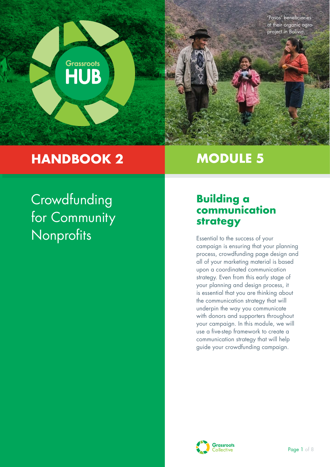

# **HANDBOOK 2**

# **MODULE 5**

**Crowdfunding** for Community Nonprofits

# **Building a communication strategy**

Essential to the success of your campaign is ensuring that your planning process, crowdfunding page design and all of your marketing material is based upon a coordinated communication strategy. Even from this early stage of your planning and design process, it is essential that you are thinking about the communication strategy that will underpin the way you communicate with donors and supporters throughout your campaign. In this module, we will use a five-step framework to create a communication strategy that will help guide your crowdfunding campaign.

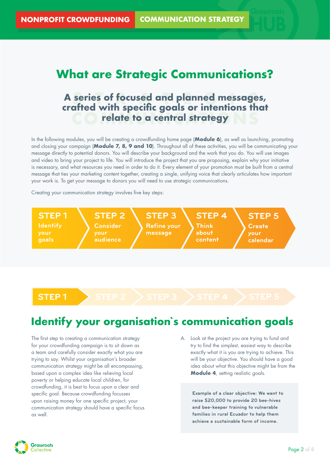# **What are Strategic Communications?**

# A series of focused and planned messages, **CO** relate to a central strategy **crafted with specific goals or intentions that**

In the following modules, you will be creating a crowdfunding home page (**Module 6**), as well as launching, promoting and closing your campaign (**Module 7, 8, 9 and 10**). Throughout all of these activities, you will be communicating your message directly to potential donors. You will describe your background and the work that you do. You will use images and video to bring your project to life. You will introduce the project that you are proposing, explain why your initiative is necessary, and what resources you need in order to do it. Every element of your promotion must be built from a central message that ties your marketing content together, creating a single, unifying voice that clearly articulates how important your work is. To get your message to donors you will need to use strategic communications.

Creating your communication strategy involves five key steps:



**STEP 1 STEP 2 STEP 3 STEP 4 STEP 5**

# **Identify your organisation`s communication goals**

The first step to creating a communication strategy for your crowdfunding campaign is to sit down as a team and carefully consider exactly what you are trying to say. Whilst your organisation's broader communication strategy might be all encompassing, based upon a complex idea like relieving local poverty or helping educate local children, for crowdfunding, it is best to focus upon a clear and specific goal. Because crowdfunding focusses upon raising money for one specific project, your communication strategy should have a specific focus as well.

A. Look at the project you are trying to fund and try to find the simplest, easiest way to describe exactly what it is you are trying to achieve. This will be your objective. You should have a good idea about what this objective might be from the **Module 4**, setting realistic goals.

> **Example of a clear objective: We want to raise \$20,000 to provide 20 bee-hives and bee-keeper training to vulnerable families in rural Ecuador to help them achieve a sustainable form of income.**

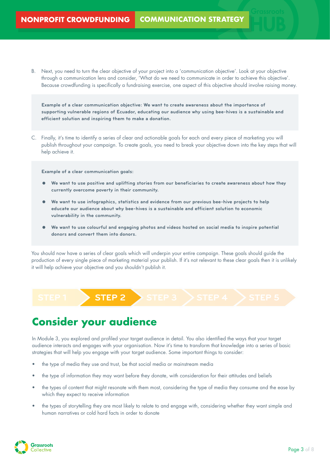B. Next, you need to turn the clear objective of your project into a 'communication objective'. Look at your objective through a communication lens and consider, 'What do we need to communicate in order to achieve this objective'. Because crowdfunding is specifically a fundraising exercise, one aspect of this objective should involve raising money.

**Example of a clear communication objective: We want to create awareness about the importance of supporting vulnerable regions of Ecuador, educating our audience why using bee-hives is a sustainable and efficient solution and inspiring them to make a donation.**

C. Finally, it's time to identify a series of clear and actionable goals for each and every piece of marketing you will publish throughout your campaign. To create goals, you need to break your objective down into the key steps that will help achieve it.

**Example of a clear communication goals:**

- **We want to use positive and uplifting stories from our beneficiaries to create awareness about how they currently overcome poverty in their community.**
- **We want to use infographics, statistics and evidence from our previous bee-hive projects to help educate our audience about why bee-hives is a sustainable and efficient solution to economic vulnerability in the community.**
- **We want to use colourful and engaging photos and videos hosted on social media to inspire potential donors and convert them into donors.**

You should now have a series of clear goals which will underpin your entire campaign. These goals should guide the production of every single piece of marketing material your publish. If it's not relevant to these clear goals then it is unlikely it will help achieve your objective and you shouldn't publish it.

**STEP 1 STEP 2 STEP 3 STEP 4 STEP 5**

# **Consider your audience**

In Module 3, you explored and profiled your target audience in detail. You also identified the ways that your target audience interacts and engages with your organisation. Now it's time to transform that knowledge into a series of basic strategies that will help you engage with your target audience. Some important things to consider:

- the type of media they use and trust, be that social media or mainstream media
- the type of information they may want before they donate, with consideration for their attitudes and beliefs
- the types of content that might resonate with them most, considering the type of media they consume and the ease by which they expect to receive information
- the types of storytelling they are most likely to relate to and engage with, considering whether they want simple and human narratives or cold hard facts in order to donate

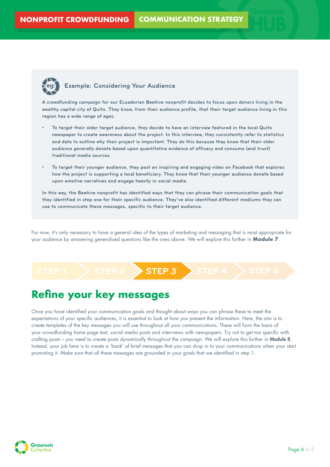

### **eg: Example: Considering Your Audience**

**A crowdfunding campaign for our Ecuadorian Beehive nonprofit decides to focus upon donors living in the wealthy capital city of Quito. They know, from their audience profile, that their target audience living in this region has a wide range of ages.** 

- **• To target their older target audience, they decide to have an interview featured in the local Quito newspaper to create awareness about the project. In this interview, they consistently refer to statistics and data to outline why their project is important. They do this because they know that their older audience generally donate based upon quantitative evidence of efficacy and consume (and trust) traditional media sources.**
- **• To target their younger audience, they post an inspiring and engaging video on Facebook that explores how the project is supporting a local beneficiary. They know that their younger audience donate based upon emotive narratives and engage heavily in social media.**

**In this way, the Beehive nonprofit has identified ways that they can phrase their communication goals that they identified in step one for their specific audience. They've also identified different mediums they can use to communicate these messages, specific to their target audience.**

For now, it's only necessary to have a general idea of the types of marketing and messaging that is most appropriate for your audience by answering generalised questions like the ones above. We will explore this further in **Module 7**.

### **STEP 1 STEP 2 STEP 3 STEP 4 STEP 5**

### **Refine your key messages**

Once you have identified your communication goals and thought about ways you can phrase these to meet the expectations of your specific audiences, it is essential to look at how you present the information. Here, the aim is to create templates of the key messages you will use throughout all your communications. These will form the basis of your crowdfunding home page text, social media posts and interviews with newspapers. Try not to get too specific with crafting posts – you need to create posts dynamically throughout the campaign. We will explore this further in Module 8. Instead, your job here is to create a 'bank' of brief messages that you can drop in to your communications when your start promoting it. Make sure that all these messages are grounded in your goals that we identified in step 1.

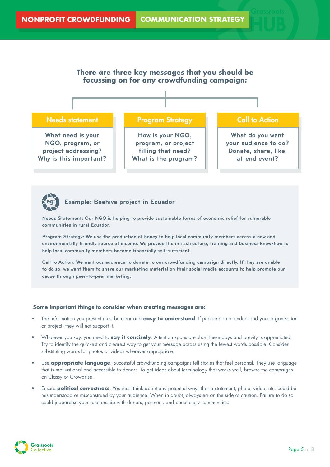



**Needs Statement: Our NGO is helping to provide sustainable forms of economic relief for vulnerable communities in rural Ecuador.**

**Program Strategy: We use the production of honey to help local community members access a new and environmentally friendly source of income. We provide the infrastructure, training and business know-how to help local community members become financially self-sufficient.**

**Call to Action: We want our audience to donate to our crowdfunding campaign directly. If they are unable to do so, we want them to share our marketing material on their social media accounts to help promote our cause through peer-to-peer marketing.**

### **Some important things to consider when creating messages are:**

- The information you present must be clear and **easy to understand**. If people do not understand your organisation or project, they will not support it.
- Whatever you say, you need to **say it concisely**. Attention spans are short these days and brevity is appreciated. Try to identify the quickest and clearest way to get your message across using the fewest words possible. Consider substituting words for photos or videos wherever appropriate.
- Use **appropriate language**. Successful crowdfunding campaigns tell stories that feel personal. They use language that is motivational and accessible to donors. To get ideas about terminology that works well, browse the campaigns on Classy or Crowdrise.
- Ensure **political correctness**. You must think about any potential ways that a statement, photo, video, etc. could be misunderstood or misconstrued by your audience. When in doubt, always err on the side of caution. Failure to do so could jeopardise your relationship with donors, partners, and beneficiary communities.

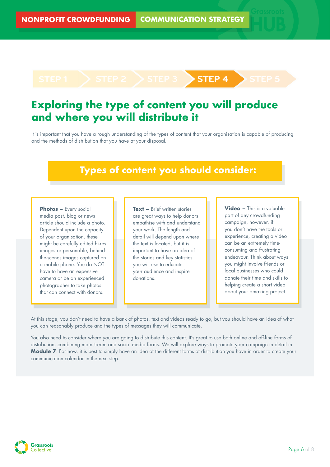### **STEP 1 STEP 2 STEP 3 STEP 4 STEP 5**

# **Exploring the type of content you will produce and where you will distribute it**

It is important that you have a rough understanding of the types of content that your organisation is capable of producing and the methods of distribution that you have at your disposal.

## **Types of content you should consider:**

**Photos – Every social** media post, blog or news article should include a photo. Dependent upon the capacity of your organisation, these might be carefully edited hi-res images or personable, behindthe-scenes images captured on a mobile phone. You do NOT have to have an expensive camera or be an experienced photographer to take photos that can connect with donors.

**Text – Brief written stories** are great ways to help donors empathise with and understand your work. The length and detail will depend upon where the text is located, but it is important to have an idea of the stories and key statistics you will use to educate your audience and inspire donations.

**Video –** This is a valuable part of any crowdfunding campaign, however, if you don't have the tools or experience, creating a video can be an extremely timeconsuming and frustrating endeavour. Think about ways you might involve friends or local businesses who could donate their time and skills to helping create a short video about your amazing project.

At this stage, you don't need to have a bank of photos, text and videos ready to go, but you should have an idea of what you can reasonably produce and the types of messages they will communicate.

You also need to consider where you are going to distribute this content. It's great to use both online and off-line forms of distribution, combining mainstream and social media forms. We will explore ways to promote your campaign in detail in **Module 7**. For now, it is best to simply have an idea of the different forms of distribution you have in order to create your communication calendar in the next step.

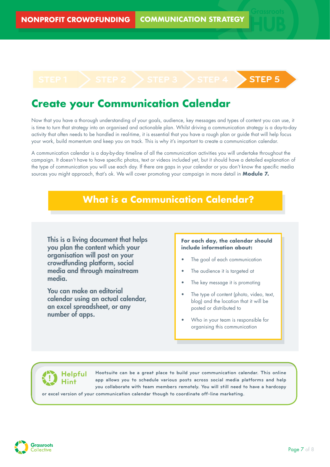# **STEP 1 STEP 2 STEP 3 STEP 4 STEP 5**

# **Create your Communication Calendar**

Now that you have a thorough understanding of your goals, audience, key messages and types of content you can use, it is time to turn that strategy into an organised and actionable plan. Whilst driving a communication strategy is a day-to-day activity that often needs to be handled in real-time, it is essential that you have a rough plan or guide that will help focus your work, build momentum and keep you on track. This is why it's important to create a communication calendar.

A communication calendar is a day-by-day timeline of all the communication activities you will undertake throughout the campaign. It doesn't have to have specific photos, text or videos included yet, but it should have a detailed explanation of the type of communication you will use each day. If there are gaps in your calendar or you don't know the specific media sources you might approach, that's ok. We will cover promoting your campaign in more detail in **Module 7.**

## **What is a Communication Calendar?**

This is a living document that helps you plan the content which your organisation will post on your crowdfunding platform, social media and through mainstream media.

You can make an editorial calendar using an actual calendar, an excel spreadsheet, or any number of apps.

### **For each day, the calendar should include information about:**

- The goal of each communication
- The audience it is targeted at
- The key message it is promoting
- The type of content (photo, video, text, blog) and the location that it will be posted or distributed to
- Who in your team is responsible for organising this communication

### **Helpful Hint**

**or excel version of your communication calendar though to coordinate off-line marketing. Hootsuite can be a great place to build your communication calendar. This online app allows you to schedule various posts across social media platforms and help you collaborate with team members remotely. You will still need to have a hardcopy**